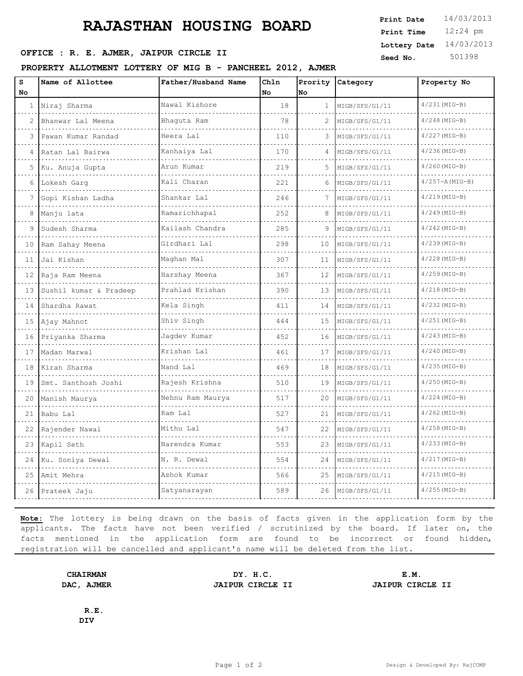# **RAJASTHAN HOUSING BOARD**

## **OFFICE : R. E. AJMER, JAIPUR CIRCLE II** Seed No. 501398

### **PROPERTY ALLOTMENT LOTTERY OF MIG B - PANCHEEL 2012, AJMER**

| S  | Name of Allottee        | Father/Husband Name | Chln      | Prority      | Category       | Property No        |
|----|-------------------------|---------------------|-----------|--------------|----------------|--------------------|
| No |                         |                     | <b>No</b> | <b>No</b>    |                |                    |
| 1  | Niraj Sharma            | Nawal Kishore       | 18        | $\mathbf{1}$ | MIGB/SFS/G1/11 | $4/231(MIG-B)$     |
|    | Bhanwar Lal Meena       | Bhaguta Ram         | 78        | 2            | MIGB/SFS/G1/11 | $4/248$ (MIG-B)    |
| 3  | Pawan Kumar Randad<br>. | Heera Lal           | 110       | 3            | MIGB/SFS/G1/11 | $4/227$ (MIG-B)    |
|    | Ratan Lal Bairwa        | Kanhaiya Lal        | 170       | 4            | MIGB/SFS/G1/11 | $4/236$ (MIG-B)    |
| 5  | Ku. Anuja Gupta         | Arun Kumar          | 219       | 5            | MIGB/SFS/G1/11 | $4/260$ (MIG-B)    |
| 6  | Lokesh Garg             | Kali Charan         | 221       | 6            | MIGB/SFS/G1/11 | $4/257 - A(MIG-B)$ |
|    | Gopi Kishan Ladha       | Shankar Lal         | 246       |              | MIGB/SFS/G1/11 | $4/219$ (MIG-B)    |
| 8  | Manju lata              | Ramarichhapal       | 252       | 8            | MIGB/SFS/G1/11 | $4/249$ (MIG-B)    |
| 9  | Sudesh Sharma           | Kailash Chandra     | 285       | 9            | MIGB/SFS/G1/11 | $4/242$ (MIG-B)    |
| 10 | Ram Sahay Meena         | Girdhari Lal        | 298       | 10           | MIGB/SFS/G1/11 | $4/239$ (MIG-B)    |
| 11 | Jai Kishan              | Maghan Mal          | 307       | 11           | MIGB/SFS/G1/11 | $4/228$ (MIG-B)    |
| 12 | Raja Ram Meena          | Harshay Meena       | 367       | 12           | MIGB/SFS/G1/11 | $4/259$ (MIG-B)    |
| 13 | Sushil kumar & Pradeep  | Prahlad Krishan     | 390       | 13           | MIGB/SFS/G1/11 | $4/218(MIG-B)$     |
| 14 | Shardha Rawat           | Kela Singh          | 411       | 14           | MIGB/SFS/G1/11 | $4/232$ (MIG-B)    |
| 15 | Ajay Mahnot             | Shiv Singh          | 444       | 15           | MIGB/SFS/G1/11 | $4/251$ (MIG-B)    |
| 16 | Priyanka Sharma         | Jagdev Kumar        | 452       | 16           | MIGB/SFS/G1/11 | $4/243$ (MIG-B)    |
| 17 | Madan Marwal            | Krishan Lal         | 461       | 17           | MIGB/SFS/G1/11 | $4/240$ (MIG-B)    |
| 18 | Kiran Sharma            | Nand Lal            | 469       | 18           | MIGB/SFS/G1/11 | $4/235$ (MIG-B)    |
| 19 | Smt. Santhosh Joshi     | Rajesh Krishna      | 510       | 19           | MIGB/SFS/G1/11 | $4/250$ (MIG-B)    |
| 20 | Manish Maurya           | Nehnu Ram Maurya    | 517       | 20           | MIGB/SFS/G1/11 | $4/224$ (MIG-B)    |
| 21 | Babu Lal                | Ram Lal             | 527       | 21           | MIGB/SFS/G1/11 | $4/262$ (MIG-B)    |
| 22 | Rajender Nawal          | Mithu Lal           | 547       | 22           | MIGB/SFS/G1/11 | $4/258$ (MIG-B)    |
| 23 | Kapil Seth              | Narendra Kumar      | 553       | 23           | MIGB/SFS/G1/11 | $4/233$ (MIG-B)    |
| 24 | Ku. Soniya Dewal        | N. R. Dewal         | 554       | 24           | MIGB/SFS/G1/11 | $4/217$ (MIG-B)    |
| 25 | Amit Mehra              | Ashok Kumar         | 566       | 25           | MIGB/SFS/G1/11 | $4/215$ (MIG-B)    |
| 26 | Prateek Jaju            | Satyanarayan        | 589       | 26           | MIGB/SFS/G1/11 | $4/255$ (MIG-B)    |
|    |                         |                     |           |              |                |                    |

**Note:** The lottery is being drawn on the basis of facts given in the application form by the applicants. The facts have not been verified / scrutinized by the board. If later on, the facts mentioned in the application form are found to be incorrect or found hidden, registration will be cancelled and applicant's name will be deleted from the list.

**DAC, AJMER JAIPUR CIRCLE II JAIPUR CIRCLE II**

**CHAIRMAN DY. H.C. E.M.**

**R.E. DIV**

12:24 pm **Print Time Print Date**  $14/03/2013$ **Lottery Date** 14/03/2013